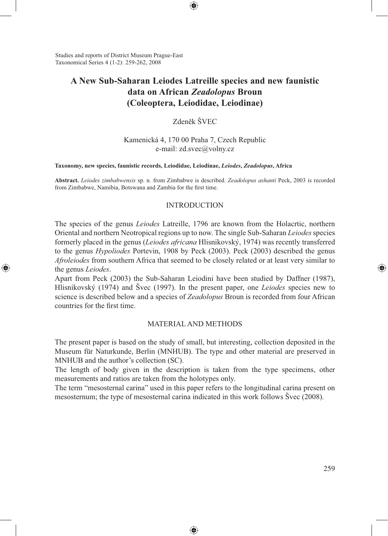Studies and reports of District Museum Prague-East Taxonomical Series 4 (1-2): 259-262, 2008

⊕

# **A New Sub-Saharan Leiodes Latreille species and new faunistic data on African** *Zeadolopus* **Broun (Coleoptera, Leiodidae, Leiodinae)**

⊕

Zdeněk ŠVEC

Kamenická 4, 170 00 Praha 7, Czech Republic e-mail: zd.svec@volny.cz

#### **Taxonomy, new species, faunistic records, Leiodidae, Leiodinae,** *Leiodes***,** *Zeadolopus***, Africa**

**Abstract.** *Leiodes zimbabwensis* sp. n. from Zimbabwe is described. *Zeadolopus ashanti* Peck, 2003 is recorded from Zimbabwe, Namibia, Botswana and Zambia for the first time.

### INTRODUCTION

The species of the genus *Leiodes* Latreille, 1796 are known from the Holacrtic, northern Oriental and northern Neotropical regions up to now. The single Sub-Saharan *Leiodes* species formerly placed in the genus (*Leiodes africana* Hlisnikovský, 1974) was recently transferred to the genus *Hypoliodes* Portevin, 1908 by Peck (2003). Peck (2003) described the genus *Afroleiodes* from southern Africa that seemed to be closely related or at least very similar to the genus *Leiodes*.

Apart from Peck (2003) the Sub-Saharan Leiodini have been studied by Daffner (1987), Hlisnikovský (1974) and Švec (1997). In the present paper, one *Leiodes* species new to science is described below and a species of *Zeadolopus* Broun is recorded from four African countries for the first time.

## MATERIAL AND METHODS

The present paper is based on the study of small, but interesting, collection deposited in the Museum für Naturkunde, Berlin (MNHUB). The type and other material are preserved in MNHUB and the author's collection (SC).

The length of body given in the description is taken from the type specimens, other measurements and ratios are taken from the holotypes only.

The term "mesosternal carina" used in this paper refers to the longitudinal carina present on mesosternum; the type of mesosternal carina indicated in this work follows Švec (2008).

⊕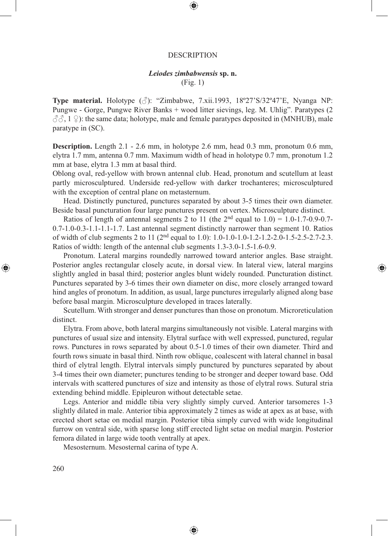#### DESCRIPTION

⊕

## *Leiodes zimbabwensis* **sp. n.**

(Fig. 1)

**Type material.** Holotype (♂): "Zimbabwe, 7.xii.1993, 18º27'S/32º47'E, Nyanga NP: Pungwe - Gorge, Pungwe River Banks + wood litter sievings, leg. M. Uhlig". Paratypes (2  $\langle \hat{\beta} \hat{\beta}, 1 \rangle$ : the same data; holotype, male and female paratypes deposited in (MNHUB), male paratype in (SC).

**Description.** Length 2.1 - 2.6 mm, in holotype 2.6 mm, head 0.3 mm, pronotum 0.6 mm, elytra 1.7 mm, antenna 0.7 mm. Maximum width of head in holotype 0.7 mm, pronotum 1.2 mm at base, elytra 1.3 mm at basal third.

Oblong oval, red-yellow with brown antennal club. Head, pronotum and scutellum at least partly microsculptured. Underside red-yellow with darker trochanteres; microsculptured with the exception of central plane on metasternum.

Head. Distinctly punctured, punctures separated by about 3-5 times their own diameter. Beside basal puncturation four large punctures present on vertex. Microsculpture distinct.

Ratios of length of antennal segments 2 to 11 (the  $2<sup>nd</sup>$  equal to 1.0) = 1.0-1.7-0.9-0.7-0.7-1.0-0.3-1.1-1.1-1.7. Last antennal segment distinctly narrower than segment 10. Ratios of width of club segments 2 to 11 ( $2<sup>nd</sup>$  equal to 1.0): 1.0-1.0-1.0-1.2-1.2-2.0-1.5-2.5-2.7-2.3. Ratios of width: length of the antennal club segments 1.3-3.0-1.5-1.6-0.9.

Pronotum. Lateral margins roundedly narrowed toward anterior angles. Base straight. Posterior angles rectangular closely acute, in dorsal view. In lateral view, lateral margins slightly angled in basal third; posterior angles blunt widely rounded. Puncturation distinct. Punctures separated by 3-6 times their own diameter on disc, more closely arranged toward hind angles of pronotum. In addition, as usual, large punctures irregularly aligned along base before basal margin. Microsculpture developed in traces laterally.

⊕

Scutellum. With stronger and denser punctures than those on pronotum. Microreticulation distinct.

Elytra. From above, both lateral margins simultaneously not visible. Lateral margins with punctures of usual size and intensity. Elytral surface with well expressed, punctured, regular rows. Punctures in rows separated by about 0.5-1.0 times of their own diameter. Third and fourth rows sinuate in basal third. Ninth row oblique, coalescent with lateral channel in basal third of elytral length. Elytral intervals simply punctured by punctures separated by about 3-4 times their own diameter; punctures tending to be stronger and deeper toward base. Odd intervals with scattered punctures of size and intensity as those of elytral rows. Sutural stria extending behind middle. Epipleuron without detectable setae.

Legs. Anterior and middle tibia very slightly simply curved. Anterior tarsomeres 1-3 slightly dilated in male. Anterior tibia approximately 2 times as wide at apex as at base, with erected short setae on medial margin. Posterior tibia simply curved with wide longitudinal furrow on ventral side, with sparse long stiff erected light setae on medial margin. Posterior femora dilated in large wide tooth ventrally at apex.

⊕

Mesosternum. Mesosternal carina of type A.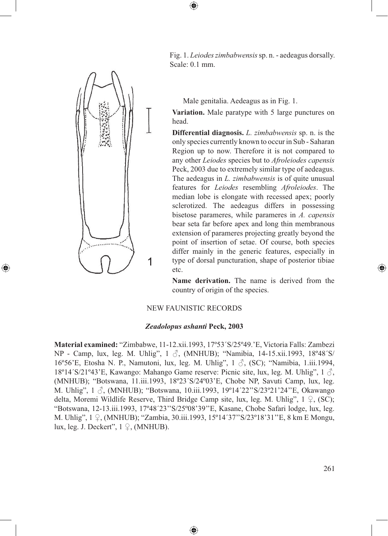1

⊕

Fig. 1. *Leiodes zimbabwensis* sp. n. - aedeagus dorsally. Scale: 0.1 mm.

Male genitalia. Aedeagus as in Fig. 1.

**Variation.** Male paratype with 5 large punctures on head.

**Differential diagnosis.** *L. zimbabwensis* sp. n. is the only species currently known to occur in Sub - Saharan Region up to now. Therefore it is not compared to any other *Leiodes* species but to *Afroleiodes capensis* Peck, 2003 due to extremely similar type of aedeagus. The aedeagus in *L. zimbabwensis* is of quite unusual features for *Leiodes* resembling *Afroleiodes*. The median lobe is elongate with recessed apex; poorly sclerotized. The aedeagus differs in possessing bisetose parameres, while parameres in *A. capensis* bear seta far before apex and long thin membranous extension of parameres projecting greatly beyond the point of insertion of setae. Of course, both species differ mainly in the generic features, especially in type of dorsal puncturation, shape of posterior tibiae etc.

**Name derivation.** The name is derived from the country of origin of the species.

## NEW FAUNISTIC RECORDS

 $\textcircled{\scriptsize{*}}$ 

## *Zeadolopus ashanti* **Peck, 2003**

**Material examined:** "Zimbabwe, 11-12.xii.1993, 17º53´S/25º49.'E, Victoria Falls: Zambezi NP - Camp, lux, leg. M. Uhlig", 1 ♂, (MNHUB); "Namibia, 14-15.xii.1993, 18º48´S/ 16º56'E, Etosha N. P., Namutoni, lux, leg. M. Uhlig", 1 ♂, (SC); "Namibia, 1.iii.1994, 18º14´S/21º43'E, Kawango: Mahango Game reserve: Picnic site, lux, leg. M. Uhlig", 1 ♂, (MNHUB); "Botswana, 11.iii.1993, 18º23´S/24º03'E, Chobe NP, Savuti Camp, lux, leg. M. Uhlig", 1  $\Im$ , (MNHUB); "Botswana, 10.iii.1993, 19°14'22"S/23°21'24"E, Okawango delta, Moremi Wildlife Reserve, Third Bridge Camp site, lux, leg. M. Uhlig",  $1 \nsubseteq$ , (SC); "Botswana, 12-13.iii.1993, 17º48´23''S/25º08'39''E, Kasane, Chobe Safari lodge, lux, leg. M. Uhlig", 1 ♀, (MNHUB); "Zambia, 30.iii.1993, 15º14´37''S/23º18'31''E, 8 km E Mongu, lux, leg. J. Deckert",  $1 \nsubseteq$ , (MNHUB).

⊕